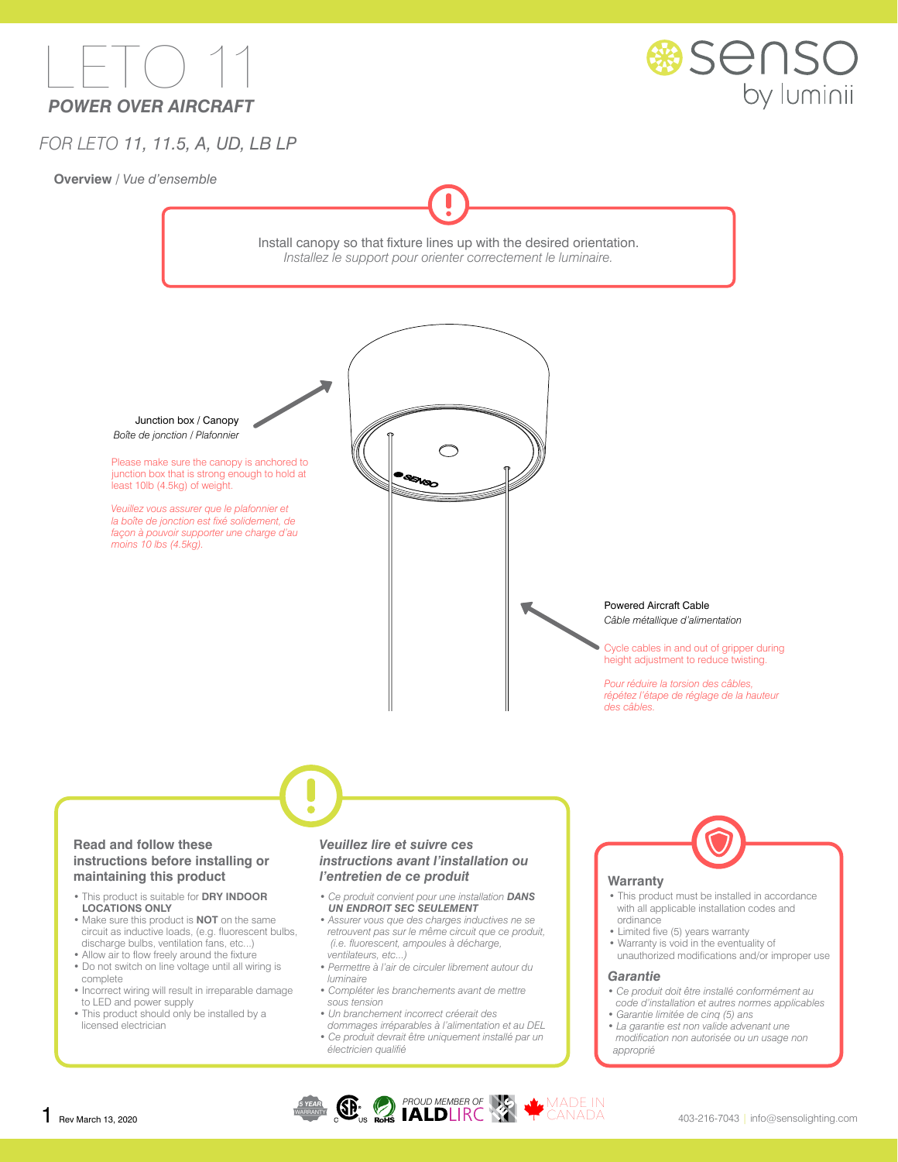



## *FOR LETO 11, 11.5, A, UD, LB LP*

**Overview** / *Vue d'ensemble*